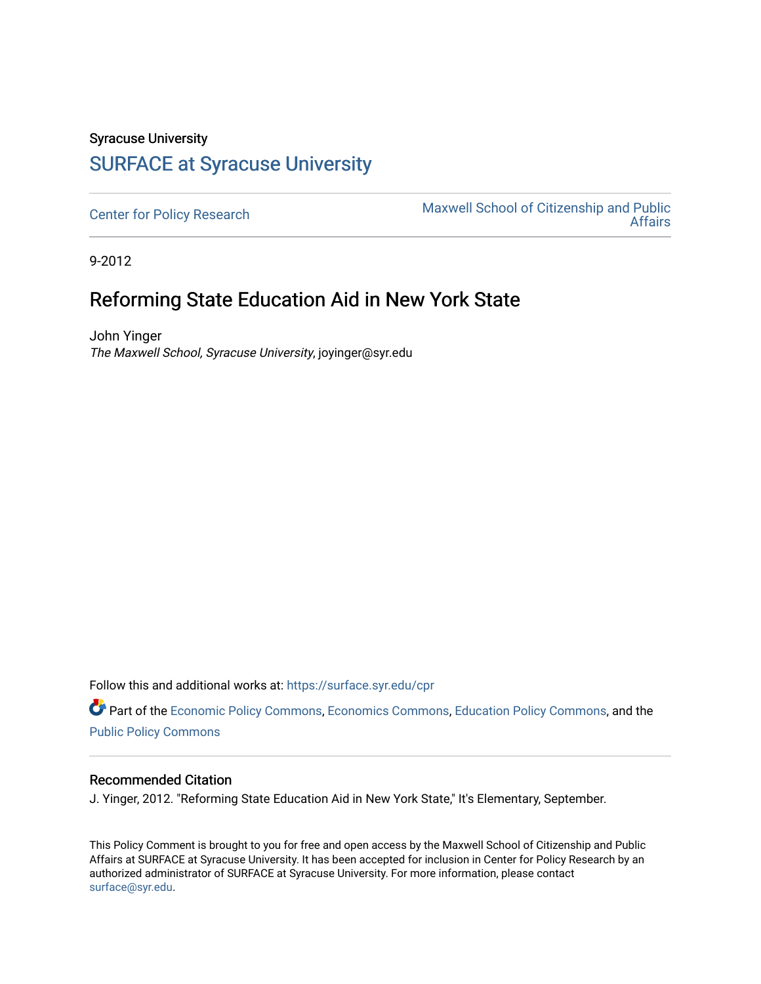## Syracuse University [SURFACE at Syracuse University](https://surface.syr.edu/)

[Center for Policy Research](https://surface.syr.edu/cpr) Maxwell School of Citizenship and Public<br>Affairs [Affairs](https://surface.syr.edu/maxwell) 

9-2012

## Reforming State Education Aid in New York State

John Yinger The Maxwell School, Syracuse University, joyinger@syr.edu

Follow this and additional works at: [https://surface.syr.edu/cpr](https://surface.syr.edu/cpr?utm_source=surface.syr.edu%2Fcpr%2F351&utm_medium=PDF&utm_campaign=PDFCoverPages) 

Part of the [Economic Policy Commons](http://network.bepress.com/hgg/discipline/1025?utm_source=surface.syr.edu%2Fcpr%2F351&utm_medium=PDF&utm_campaign=PDFCoverPages), [Economics Commons,](http://network.bepress.com/hgg/discipline/340?utm_source=surface.syr.edu%2Fcpr%2F351&utm_medium=PDF&utm_campaign=PDFCoverPages) [Education Policy Commons](http://network.bepress.com/hgg/discipline/1026?utm_source=surface.syr.edu%2Fcpr%2F351&utm_medium=PDF&utm_campaign=PDFCoverPages), and the [Public Policy Commons](http://network.bepress.com/hgg/discipline/400?utm_source=surface.syr.edu%2Fcpr%2F351&utm_medium=PDF&utm_campaign=PDFCoverPages)

#### Recommended Citation

J. Yinger, 2012. "Reforming State Education Aid in New York State," It's Elementary, September.

This Policy Comment is brought to you for free and open access by the Maxwell School of Citizenship and Public Affairs at SURFACE at Syracuse University. It has been accepted for inclusion in Center for Policy Research by an authorized administrator of SURFACE at Syracuse University. For more information, please contact [surface@syr.edu.](mailto:surface@syr.edu)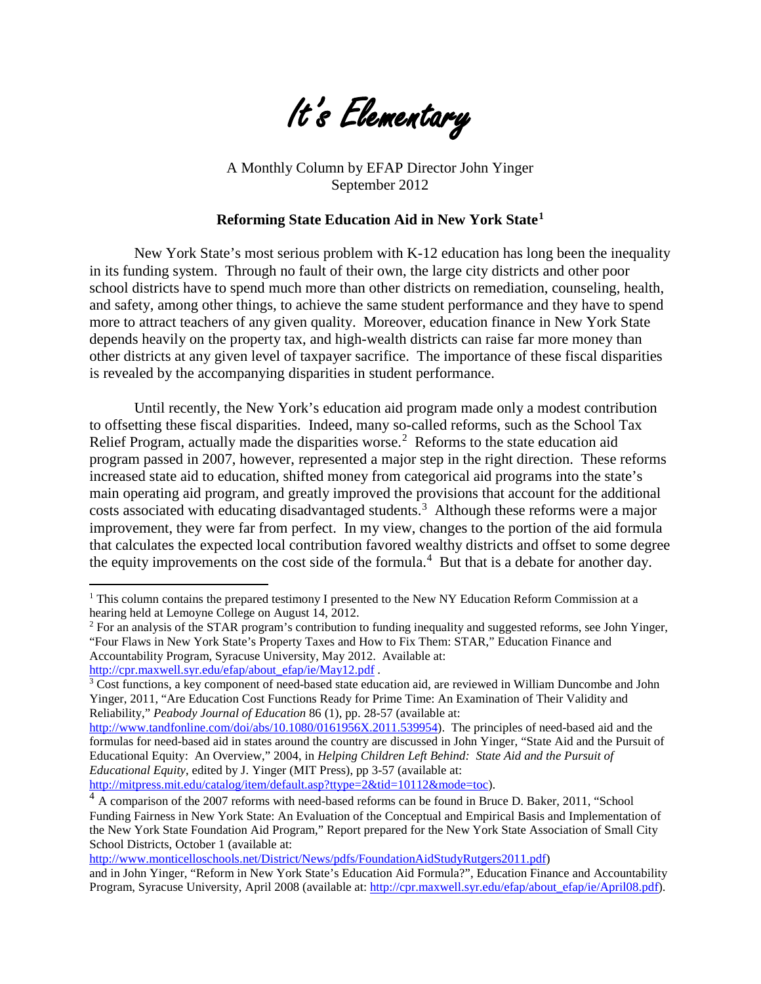

A Monthly Column by EFAP Director John Yinger September 2012

#### **Reforming State Education Aid in New York State[1](#page-3-0)**

New York State's most serious problem with K-12 education has long been the inequality in its funding system. Through no fault of their own, the large city districts and other poor school districts have to spend much more than other districts on remediation, counseling, health, and safety, among other things, to achieve the same student performance and they have to spend more to attract teachers of any given quality. Moreover, education finance in New York State depends heavily on the property tax, and high-wealth districts can raise far more money than other districts at any given level of taxpayer sacrifice. The importance of these fiscal disparities is revealed by the accompanying disparities in student performance.

Until recently, the New York's education aid program made only a modest contribution to offsetting these fiscal disparities. Indeed, many so-called reforms, such as the School Tax Relief Program, actually made the disparities worse.<sup>2</sup> Reforms to the state education aid program passed in 2007, however, represented a major step in the right direction. These reforms increased state aid to education, shifted money from categorical aid programs into the state's main operating aid program, and greatly improved the provisions that account for the additional costs associated with educating disadvantaged students.<sup>3</sup> Although these reforms were a major improvement, they were far from perfect. In my view, changes to the portion of the aid formula that calculates the expected local contribution favored wealthy districts and offset to some degree the equity improvements on the cost side of the formula.<sup>4</sup> But that is a debate for another day.

 $\overline{a}$ 

[http://www.monticelloschools.net/District/News/pdfs/FoundationAidStudyRutgers2011.pdf\)](http://www.monticelloschools.net/District/News/pdfs/FoundationAidStudyRutgers2011.pdf)

<sup>&</sup>lt;sup>1</sup> This column contains the prepared testimony I presented to the New NY Education Reform Commission at a hearing held at Lemoyne College on August 14, 2012.

<span id="page-1-0"></span><sup>&</sup>lt;sup>2</sup> For an analysis of the STAR program's contribution to funding inequality and suggested reforms, see John Yinger, "Four Flaws in New York State's Property Taxes and How to Fix Them: STAR," Education Finance and Accountability Program, Syracuse University, May 2012. Available at:<br>
http://cpr.maxwell.syr.edu/efap/about\_efap/ie/May12.pdf.

<span id="page-1-1"></span> $\frac{3}{3}$  Cost functions, a key component of need-based state education aid, are reviewed in William Duncombe and John Yinger, 2011, "Are Education Cost Functions Ready for Prime Time: An Examination of Their Validity and Reliability," *Peabody Journal of Education* 86 (1), pp. 28-57 (available at:

[http://www.tandfonline.com/doi/abs/10.1080/0161956X.2011.539954\)](http://www.tandfonline.com/doi/abs/10.1080/0161956X.2011.539954). The principles of need-based aid and the formulas for need-based aid in states around the country are discussed in John Yinger, "State Aid and the Pursuit of Educational Equity: An Overview," 2004, in *Helping Children Left Behind: State Aid and the Pursuit of Educational Equity*, edited by J. Yinger (MIT Press), pp 3-57 (available at: [http://mitpress.mit.edu/catalog/item/default.asp?ttype=2&tid=10112&mode=toc\)](http://mitpress.mit.edu/catalog/item/default.asp?ttype=2&tid=10112&mode=toc).

<span id="page-1-2"></span><sup>&</sup>lt;sup>4</sup> A comparison of the 2007 reforms with need-based reforms can be found in Bruce D. Baker, 2011, "School Funding Fairness in New York State: An Evaluation of the Conceptual and Empirical Basis and Implementation of the New York State Foundation Aid Program," Report prepared for the New York State Association of Small City School Districts, October 1 (available at:

and in John Yinger, "Reform in New York State's Education Aid Formula?", Education Finance and Accountability Program, Syracuse University, April 2008 (available at: [http://cpr.maxwell.syr.edu/efap/about\\_efap/ie/April08.pdf\)](http://cpr.maxwell.syr.edu/efap/about_efap/ie/April08.pdf).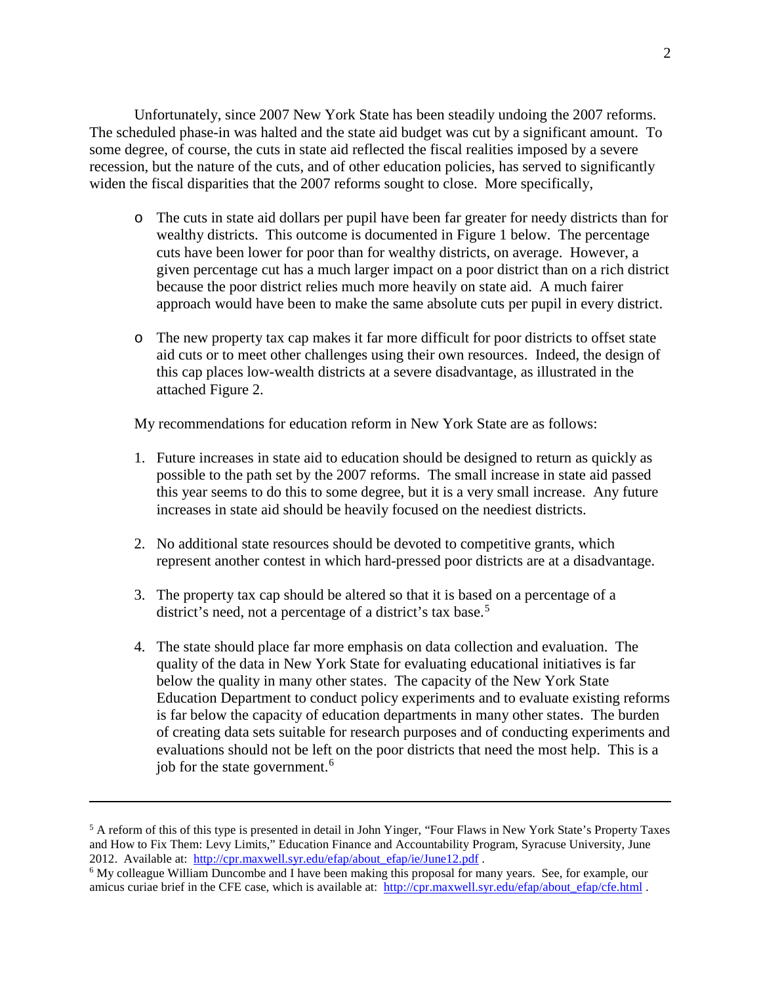Unfortunately, since 2007 New York State has been steadily undoing the 2007 reforms. The scheduled phase-in was halted and the state aid budget was cut by a significant amount. To some degree, of course, the cuts in state aid reflected the fiscal realities imposed by a severe recession, but the nature of the cuts, and of other education policies, has served to significantly widen the fiscal disparities that the 2007 reforms sought to close. More specifically,

- o The cuts in state aid dollars per pupil have been far greater for needy districts than for wealthy districts. This outcome is documented in Figure 1 below. The percentage cuts have been lower for poor than for wealthy districts, on average. However, a given percentage cut has a much larger impact on a poor district than on a rich district because the poor district relies much more heavily on state aid. A much fairer approach would have been to make the same absolute cuts per pupil in every district.
- o The new property tax cap makes it far more difficult for poor districts to offset state aid cuts or to meet other challenges using their own resources. Indeed, the design of this cap places low-wealth districts at a severe disadvantage, as illustrated in the attached Figure 2.

My recommendations for education reform in New York State are as follows:

- 1. Future increases in state aid to education should be designed to return as quickly as possible to the path set by the 2007 reforms. The small increase in state aid passed this year seems to do this to some degree, but it is a very small increase. Any future increases in state aid should be heavily focused on the neediest districts.
- 2. No additional state resources should be devoted to competitive grants, which represent another contest in which hard-pressed poor districts are at a disadvantage.
- 3. The property tax cap should be altered so that it is based on a percentage of a district's need, not a percentage of a district's tax base.<sup>[5](#page-2-0)</sup>
- 4. The state should place far more emphasis on data collection and evaluation. The quality of the data in New York State for evaluating educational initiatives is far below the quality in many other states. The capacity of the New York State Education Department to conduct policy experiments and to evaluate existing reforms is far below the capacity of education departments in many other states. The burden of creating data sets suitable for research purposes and of conducting experiments and evaluations should not be left on the poor districts that need the most help. This is a job for the state government.<sup>6</sup>

 $\overline{a}$ 

<span id="page-2-0"></span><sup>&</sup>lt;sup>5</sup> A reform of this of this type is presented in detail in John Yinger, "Four Flaws in New York State's Property Taxes and How to Fix Them: Levy Limits," Education Finance and Accountability Program, Syracuse University, June 2012. Available at: http://cpr.maxwell.syr.edu/efap/about efap/ie/June12.pdf.

<span id="page-2-1"></span> $6$  My colleague William Duncombe and I have been making this proposal for many years. See, for example, our amicus curiae brief in the CFE case, which is available at: http://cpr.maxwell.syr.edu/efap/about\_efap/cfe.html.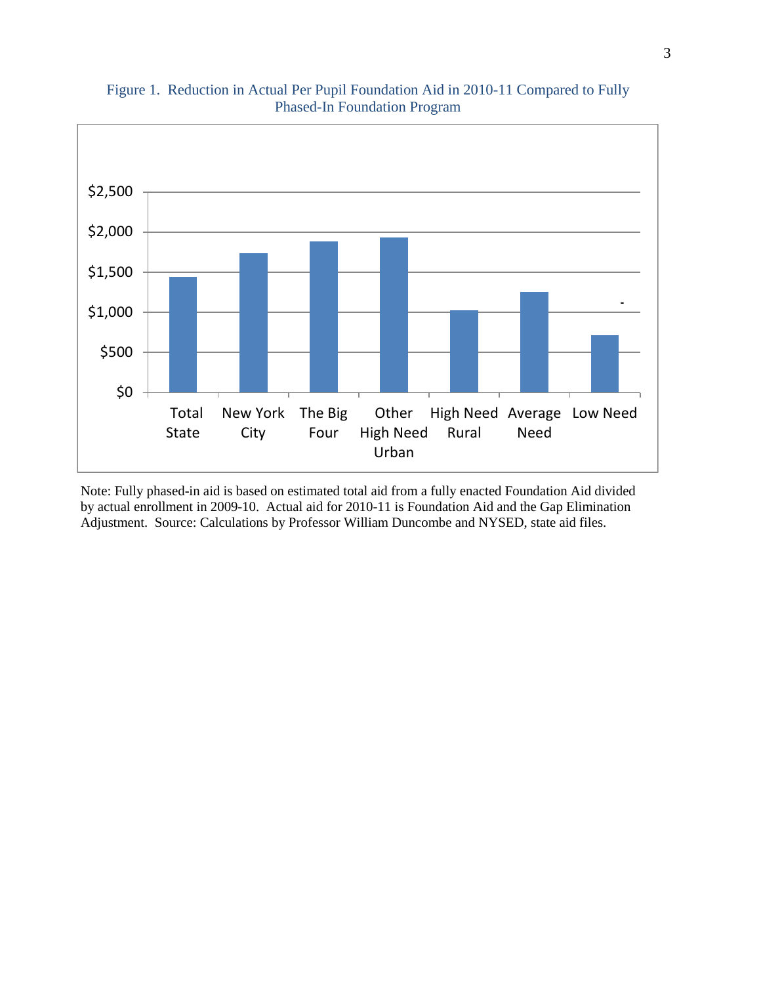

### Figure 1. Reduction in Actual Per Pupil Foundation Aid in 2010-11 Compared to Fully Phased-In Foundation Program

<span id="page-3-0"></span>Note: Fully phased-in aid is based on estimated total aid from a fully enacted Foundation Aid divided by actual enrollment in 2009-10. Actual aid for 2010-11 is Foundation Aid and the Gap Elimination Adjustment. Source: Calculations by Professor William Duncombe and NYSED, state aid files.